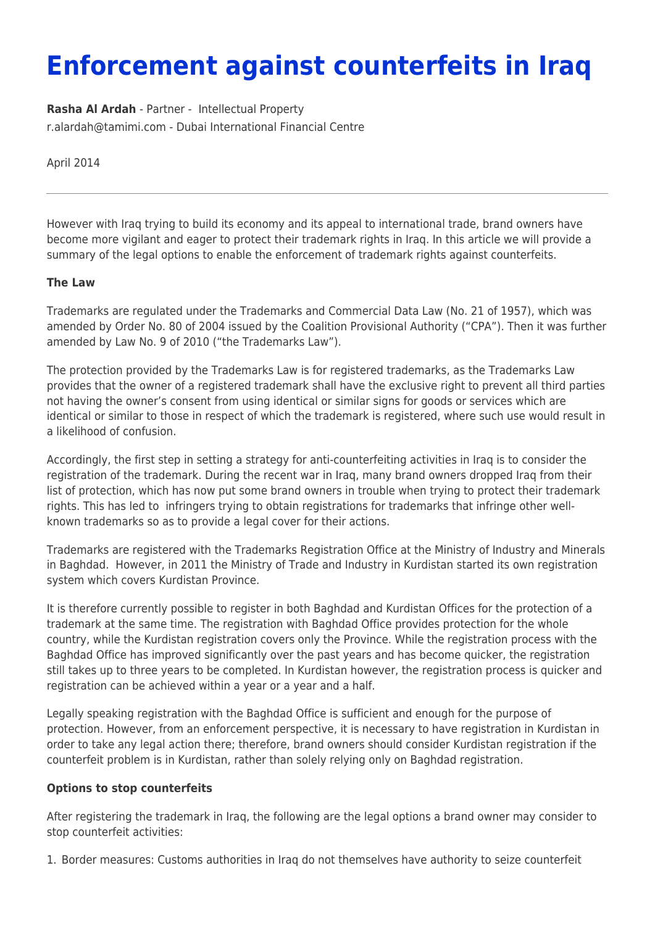## **Enforcement against counterfeits in Iraq**

**[Rasha Al Ardah](https://www.tamimi.com/find-a-lawyer/rasha-al-ardah/)** - Partner - [Intellectual Property](https://www.tamimi.com/client-services/practices/intellectual-property/) [r.alardah@tamimi.com](mailto:r.alardah@tamimi.com) - [Dubai International Financial Centre](https://www.tamimi.com/locations/uae/)

April 2014

However with Iraq trying to build its economy and its appeal to international trade, brand owners have become more vigilant and eager to protect their trademark rights in Iraq. In this article we will provide a summary of the legal options to enable the enforcement of trademark rights against counterfeits.

## **The Law**

Trademarks are regulated under the Trademarks and Commercial Data Law (No. 21 of 1957), which was amended by Order No. 80 of 2004 issued by the Coalition Provisional Authority ("CPA"). Then it was further amended by Law No. 9 of 2010 ("the Trademarks Law").

The protection provided by the Trademarks Law is for registered trademarks, as the Trademarks Law provides that the owner of a registered trademark shall have the exclusive right to prevent all third parties not having the owner's consent from using identical or similar signs for goods or services which are identical or similar to those in respect of which the trademark is registered, where such use would result in a likelihood of confusion.

Accordingly, the first step in setting a strategy for anti-counterfeiting activities in Iraq is to consider the registration of the trademark. During the recent war in Iraq, many brand owners dropped Iraq from their list of protection, which has now put some brand owners in trouble when trying to protect their trademark rights. This has led to infringers trying to obtain registrations for trademarks that infringe other wellknown trademarks so as to provide a legal cover for their actions.

Trademarks are registered with the Trademarks Registration Office at the Ministry of Industry and Minerals in Baghdad. However, in 2011 the Ministry of Trade and Industry in Kurdistan started its own registration system which covers Kurdistan Province.

It is therefore currently possible to register in both Baghdad and Kurdistan Offices for the protection of a trademark at the same time. The registration with Baghdad Office provides protection for the whole country, while the Kurdistan registration covers only the Province. While the registration process with the Baghdad Office has improved significantly over the past years and has become quicker, the registration still takes up to three years to be completed. In Kurdistan however, the registration process is quicker and registration can be achieved within a year or a year and a half.

Legally speaking registration with the Baghdad Office is sufficient and enough for the purpose of protection. However, from an enforcement perspective, it is necessary to have registration in Kurdistan in order to take any legal action there; therefore, brand owners should consider Kurdistan registration if the counterfeit problem is in Kurdistan, rather than solely relying only on Baghdad registration.

## **Options to stop counterfeits**

After registering the trademark in Iraq, the following are the legal options a brand owner may consider to stop counterfeit activities:

1. Border measures: Customs authorities in Iraq do not themselves have authority to seize counterfeit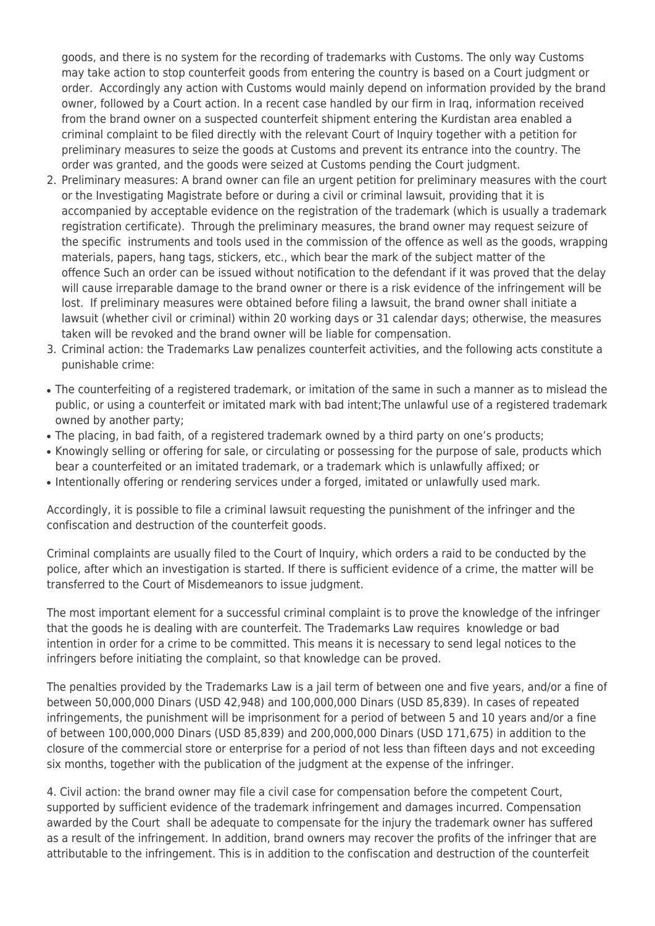goods, and there is no system for the recording of trademarks with Customs. The only way Customs may take action to stop counterfeit goods from entering the country is based on a Court judgment or order. Accordingly any action with Customs would mainly depend on information provided by the brand owner, followed by a Court action. In a recent case handled by our firm in Iraq, information received from the brand owner on a suspected counterfeit shipment entering the Kurdistan area enabled a criminal complaint to be filed directly with the relevant Court of Inquiry together with a petition for preliminary measures to seize the goods at Customs and prevent its entrance into the country. The order was granted, and the goods were seized at Customs pending the Court judgment.

- 2. Preliminary measures: A brand owner can file an urgent petition for preliminary measures with the court or the Investigating Magistrate before or during a civil or criminal lawsuit, providing that it is accompanied by acceptable evidence on the registration of the trademark (which is usually a trademark registration certificate). Through the preliminary measures, the brand owner may request seizure of the specific instruments and tools used in the commission of the offence as well as the goods, wrapping materials, papers, hang tags, stickers, etc., which bear the mark of the subject matter of the offence Such an order can be issued without notification to the defendant if it was proved that the delay will cause irreparable damage to the brand owner or there is a risk evidence of the infringement will be lost. If preliminary measures were obtained before filing a lawsuit, the brand owner shall initiate a lawsuit (whether civil or criminal) within 20 working days or 31 calendar days; otherwise, the measures taken will be revoked and the brand owner will be liable for compensation.
- 3. Criminal action: the Trademarks Law penalizes counterfeit activities, and the following acts constitute a punishable crime:
- The counterfeiting of a registered trademark, or imitation of the same in such a manner as to mislead the public, or using a counterfeit or imitated mark with bad intent;The unlawful use of a registered trademark owned by another party;
- The placing, in bad faith, of a registered trademark owned by a third party on one's products;
- Knowingly selling or offering for sale, or circulating or possessing for the purpose of sale, products which bear a counterfeited or an imitated trademark, or a trademark which is unlawfully affixed; or
- Intentionally offering or rendering services under a forged, imitated or unlawfully used mark.

Accordingly, it is possible to file a criminal lawsuit requesting the punishment of the infringer and the confiscation and destruction of the counterfeit goods.

Criminal complaints are usually filed to the Court of Inquiry, which orders a raid to be conducted by the police, after which an investigation is started. If there is sufficient evidence of a crime, the matter will be transferred to the Court of Misdemeanors to issue judgment.

The most important element for a successful criminal complaint is to prove the knowledge of the infringer that the goods he is dealing with are counterfeit. The Trademarks Law requires knowledge or bad intention in order for a crime to be committed. This means it is necessary to send legal notices to the infringers before initiating the complaint, so that knowledge can be proved.

The penalties provided by the Trademarks Law is a jail term of between one and five years, and/or a fine of between 50,000,000 Dinars (USD 42,948) and 100,000,000 Dinars (USD 85,839). In cases of repeated infringements, the punishment will be imprisonment for a period of between 5 and 10 years and/or a fine of between 100,000,000 Dinars (USD 85,839) and 200,000,000 Dinars (USD 171,675) in addition to the closure of the commercial store or enterprise for a period of not less than fifteen days and not exceeding six months, together with the publication of the judgment at the expense of the infringer.

4. Civil action: the brand owner may file a civil case for compensation before the competent Court, supported by sufficient evidence of the trademark infringement and damages incurred. Compensation awarded by the Court shall be adequate to compensate for the injury the trademark owner has suffered as a result of the infringement. In addition, brand owners may recover the profits of the infringer that are attributable to the infringement. This is in addition to the confiscation and destruction of the counterfeit